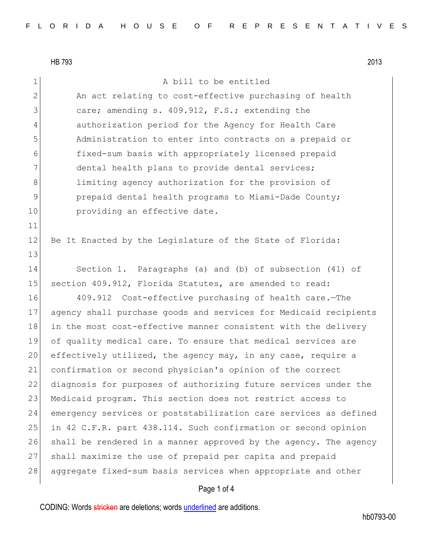11

13

HB 793 2013 1 a bill to be entitled 2 An act relating to cost-effective purchasing of health 3 care; amending s. 409.912, F.S.; extending the 4 authorization period for the Agency for Health Care 5 Administration to enter into contracts on a prepaid or 6 fixed-sum basis with appropriately licensed prepaid 7 dental health plans to provide dental services; 8 8 1imiting agency authorization for the provision of 9 **prepaid dental health programs to Miami-Dade County;** 10 **providing an effective date.** 12 Be It Enacted by the Legislature of the State of Florida: 14 Section 1. Paragraphs (a) and (b) of subsection (41) of 15 section 409.912, Florida Statutes, are amended to read: 16 409.912 Cost-effective purchasing of health care.—The 17 agency shall purchase goods and services for Medicaid recipients 18 in the most cost-effective manner consistent with the delivery 19 of quality medical care. To ensure that medical services are 20 effectively utilized, the agency may, in any case, require a 21 confirmation or second physician's opinion of the correct 22 diagnosis for purposes of authorizing future services under the 23 Medicaid program. This section does not restrict access to

24 emergency services or poststabilization care services as defined 25 in 42 C.F.R. part 438.114. Such confirmation or second opinion 26 shall be rendered in a manner approved by the agency. The agency 27 shall maximize the use of prepaid per capita and prepaid 28 aggregate fixed-sum basis services when appropriate and other

## Page 1 of 4

CODING: Words stricken are deletions; words underlined are additions.

hb0793-00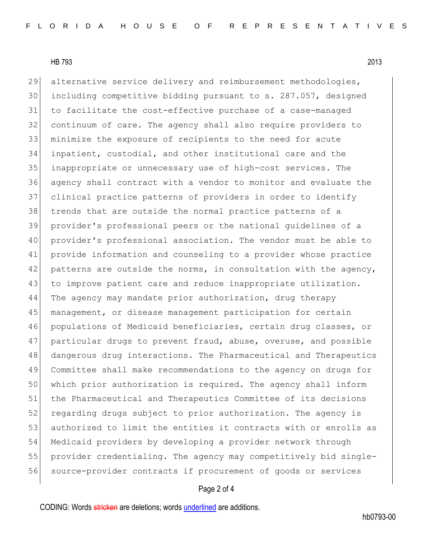HB 793 2013

29 alternative service delivery and reimbursement methodologies, including competitive bidding pursuant to s. 287.057, designed to facilitate the cost-effective purchase of a case-managed continuum of care. The agency shall also require providers to minimize the exposure of recipients to the need for acute inpatient, custodial, and other institutional care and the inappropriate or unnecessary use of high-cost services. The agency shall contract with a vendor to monitor and evaluate the clinical practice patterns of providers in order to identify trends that are outside the normal practice patterns of a provider's professional peers or the national guidelines of a provider's professional association. The vendor must be able to provide information and counseling to a provider whose practice 42 patterns are outside the norms, in consultation with the agency, 43 to improve patient care and reduce inappropriate utilization. The agency may mandate prior authorization, drug therapy 45 management, or disease management participation for certain populations of Medicaid beneficiaries, certain drug classes, or 47 particular drugs to prevent fraud, abuse, overuse, and possible dangerous drug interactions. The Pharmaceutical and Therapeutics Committee shall make recommendations to the agency on drugs for which prior authorization is required. The agency shall inform the Pharmaceutical and Therapeutics Committee of its decisions 52 regarding drugs subject to prior authorization. The agency is authorized to limit the entities it contracts with or enrolls as Medicaid providers by developing a provider network through provider credentialing. The agency may competitively bid single-56 source-provider contracts if procurement of goods or services

## Page 2 of 4

CODING: Words stricken are deletions; words underlined are additions.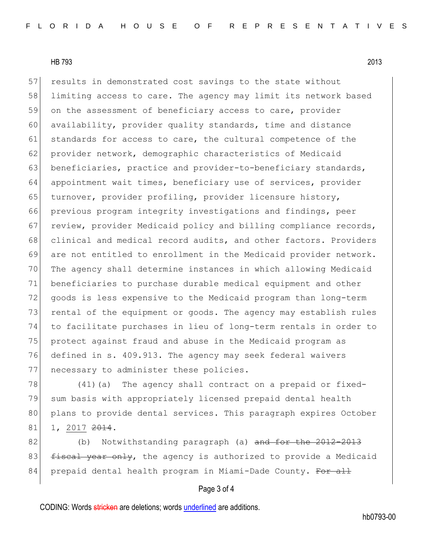HB 793 2013

57 results in demonstrated cost savings to the state without 58 limiting access to care. The agency may limit its network based 59 on the assessment of beneficiary access to care, provider 60 availability, provider quality standards, time and distance 61 standards for access to care, the cultural competence of the 62 provider network, demographic characteristics of Medicaid 63 beneficiaries, practice and provider-to-beneficiary standards, 64 appointment wait times, beneficiary use of services, provider 65 turnover, provider profiling, provider licensure history, 66 previous program integrity investigations and findings, peer 67 review, provider Medicaid policy and billing compliance records, 68 clinical and medical record audits, and other factors. Providers 69 are not entitled to enrollment in the Medicaid provider network. 70 The agency shall determine instances in which allowing Medicaid 71 beneficiaries to purchase durable medical equipment and other 72 goods is less expensive to the Medicaid program than long-term 73 rental of the equipment or goods. The agency may establish rules 74 to facilitate purchases in lieu of long-term rentals in order to 75 protect against fraud and abuse in the Medicaid program as 76 defined in s. 409.913. The agency may seek federal waivers 77 necessary to administer these policies.

78 (41) (a) The agency shall contract on a prepaid or fixed-79 sum basis with appropriately licensed prepaid dental health 80 plans to provide dental services. This paragraph expires October 81 1, 2017 2014.

82 (b) Notwithstanding paragraph (a) and for the 2012-2013 83 fiscal year only, the agency is authorized to provide a Medicaid 84 prepaid dental health program in Miami-Dade County. For all

## Page 3 of 4

CODING: Words stricken are deletions; words underlined are additions.

hb0793-00